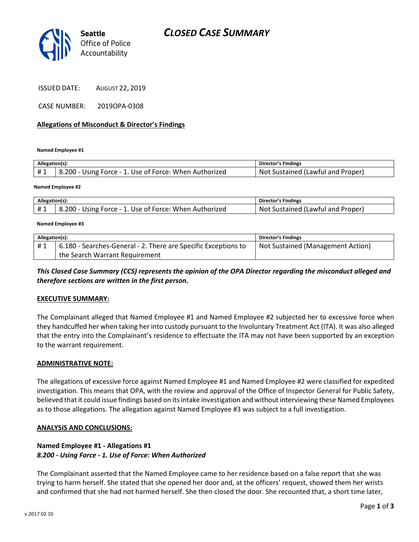## CLOSED CASE SUMMARY



ISSUED DATE: AUGUST 22, 2019

CASE NUMBER: 2019OPA-0308

### Allegations of Misconduct & Director's Findings

Named Employee #1

| Allegation(s): |                                                        | <b>Director's Findings</b>        |
|----------------|--------------------------------------------------------|-----------------------------------|
| #1             | 8.200 - Using Force - 1. Use of Force: When Authorized | Not Sustained (Lawful and Proper) |
|                |                                                        |                                   |

#### Named Employee #2

| Allegation(s): |                                                        | <b>Director's Findings</b>               |
|----------------|--------------------------------------------------------|------------------------------------------|
| #1             | 8.200 - Using Force - 1. Use of Force: When Authorized | : Sustained (Lawful and Proper).<br>Not. |

#### Named Employee #3

| Allegation(s): |                                                                | <b>Director's Findings</b>        |
|----------------|----------------------------------------------------------------|-----------------------------------|
| #1             | 6.180 - Searches-General - 2. There are Specific Exceptions to | Not Sustained (Management Action) |
|                | the Search Warrant Requirement                                 |                                   |

This Closed Case Summary (CCS) represents the opinion of the OPA Director regarding the misconduct alleged and therefore sections are written in the first person.

### EXECUTIVE SUMMARY:

The Complainant alleged that Named Employee #1 and Named Employee #2 subjected her to excessive force when they handcuffed her when taking her into custody pursuant to the Involuntary Treatment Act (ITA). It was also alleged that the entry into the Complainant's residence to effectuate the ITA may not have been supported by an exception to the warrant requirement.

### ADMINISTRATIVE NOTE:

The allegations of excessive force against Named Employee #1 and Named Employee #2 were classified for expedited investigation. This means that OPA, with the review and approval of the Office of Inspector General for Public Safety, believed that it could issue findings based on its intake investigation and without interviewing these Named Employees as to those allegations. The allegation against Named Employee #3 was subject to a full investigation.

### ANALYSIS AND CONCLUSIONS:

### Named Employee #1 - Allegations #1 8.200 - Using Force - 1. Use of Force: When Authorized

The Complainant asserted that the Named Employee came to her residence based on a false report that she was trying to harm herself. She stated that she opened her door and, at the officers' request, showed them her wrists and confirmed that she had not harmed herself. She then closed the door. She recounted that, a short time later,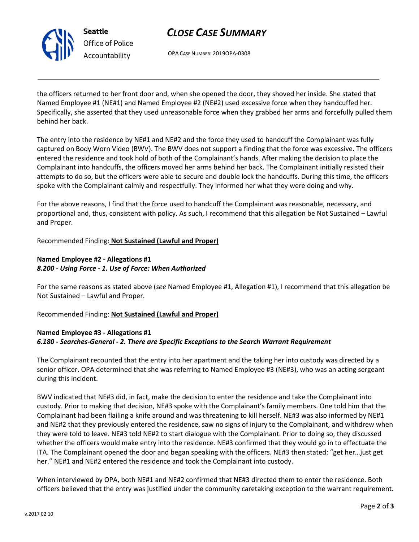

Seattle Office of Police Accountability

# CLOSE CASE SUMMARY

OPA CASE NUMBER: 2019OPA-0308

the officers returned to her front door and, when she opened the door, they shoved her inside. She stated that Named Employee #1 (NE#1) and Named Employee #2 (NE#2) used excessive force when they handcuffed her. Specifically, she asserted that they used unreasonable force when they grabbed her arms and forcefully pulled them behind her back.

The entry into the residence by NE#1 and NE#2 and the force they used to handcuff the Complainant was fully captured on Body Worn Video (BWV). The BWV does not support a finding that the force was excessive. The officers entered the residence and took hold of both of the Complainant's hands. After making the decision to place the Complainant into handcuffs, the officers moved her arms behind her back. The Complainant initially resisted their attempts to do so, but the officers were able to secure and double lock the handcuffs. During this time, the officers spoke with the Complainant calmly and respectfully. They informed her what they were doing and why.

For the above reasons, I find that the force used to handcuff the Complainant was reasonable, necessary, and proportional and, thus, consistent with policy. As such, I recommend that this allegation be Not Sustained – Lawful and Proper.

Recommended Finding: Not Sustained (Lawful and Proper)

## Named Employee #2 - Allegations #1 8.200 - Using Force - 1. Use of Force: When Authorized

For the same reasons as stated above (see Named Employee #1, Allegation #1), I recommend that this allegation be Not Sustained – Lawful and Proper.

Recommended Finding: Not Sustained (Lawful and Proper)

## Named Employee #3 - Allegations #1 6.180 - Searches-General - 2. There are Specific Exceptions to the Search Warrant Requirement

The Complainant recounted that the entry into her apartment and the taking her into custody was directed by a senior officer. OPA determined that she was referring to Named Employee #3 (NE#3), who was an acting sergeant during this incident.

BWV indicated that NE#3 did, in fact, make the decision to enter the residence and take the Complainant into custody. Prior to making that decision, NE#3 spoke with the Complainant's family members. One told him that the Complainant had been flailing a knife around and was threatening to kill herself. NE#3 was also informed by NE#1 and NE#2 that they previously entered the residence, saw no signs of injury to the Complainant, and withdrew when they were told to leave. NE#3 told NE#2 to start dialogue with the Complainant. Prior to doing so, they discussed whether the officers would make entry into the residence. NE#3 confirmed that they would go in to effectuate the ITA. The Complainant opened the door and began speaking with the officers. NE#3 then stated: "get her…just get her." NE#1 and NE#2 entered the residence and took the Complainant into custody.

When interviewed by OPA, both NE#1 and NE#2 confirmed that NE#3 directed them to enter the residence. Both officers believed that the entry was justified under the community caretaking exception to the warrant requirement.